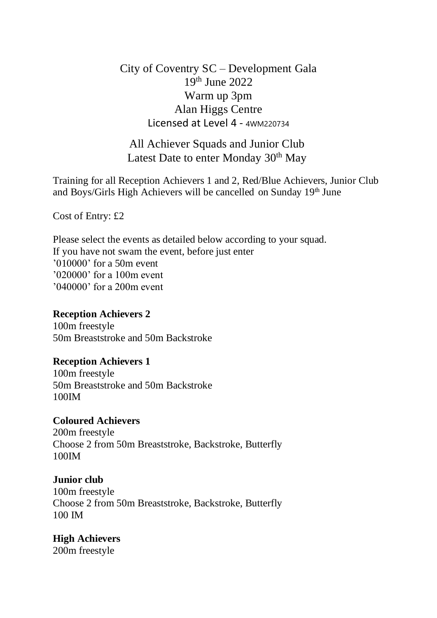City of Coventry SC – Development Gala 19th June 2022 Warm up 3pm Alan Higgs Centre Licensed at Level 4 - 4WM220734

All Achiever Squads and Junior Club Latest Date to enter Monday 30<sup>th</sup> May

Training for all Reception Achievers 1 and 2, Red/Blue Achievers, Junior Club and Boys/Girls High Achievers will be cancelled on Sunday  $19<sup>th</sup>$  June

Cost of Entry: £2

Please select the events as detailed below according to your squad. If you have not swam the event, before just enter '010000' for a 50m event '020000' for a 100m event '040000' for a 200m event

# **Reception Achievers 2**

100m freestyle 50m Breaststroke and 50m Backstroke

## **Reception Achievers 1**

100m freestyle 50m Breaststroke and 50m Backstroke 100IM

### **Coloured Achievers**

200m freestyle Choose 2 from 50m Breaststroke, Backstroke, Butterfly 100IM

### **Junior club**

100m freestyle Choose 2 from 50m Breaststroke, Backstroke, Butterfly 100 IM

### **High Achievers**

200m freestyle